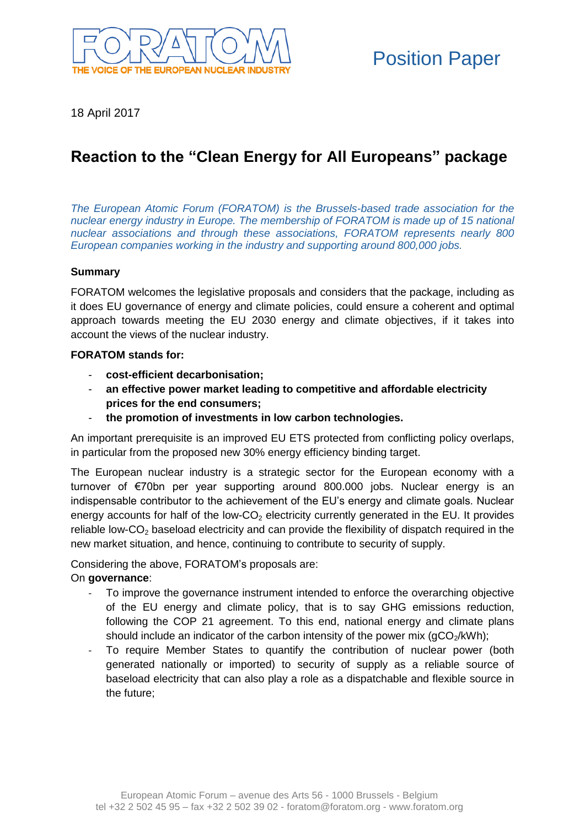

18 April 2017

# **Reaction to the "Clean Energy for All Europeans" package**

*The European Atomic Forum (FORATOM) is the Brussels-based trade association for the nuclear energy industry in Europe. The membership of FORATOM is made up of 15 national nuclear associations and through these associations, FORATOM represents nearly 800 European companies working in the industry and supporting around 800,000 jobs.* 

# **Summary**

FORATOM welcomes the legislative proposals and considers that the package, including as it does EU governance of energy and climate policies, could ensure a coherent and optimal approach towards meeting the EU 2030 energy and climate objectives, if it takes into account the views of the nuclear industry.

# **FORATOM stands for:**

- **cost-efficient decarbonisation;**
- **an effective power market leading to competitive and affordable electricity prices for the end consumers;**
- **the promotion of investments in low carbon technologies.**

An important prerequisite is an improved EU ETS protected from conflicting policy overlaps, in particular from the proposed new 30% energy efficiency binding target.

The European nuclear industry is a strategic sector for the European economy with a turnover of €70bn per year supporting around 800.000 jobs. Nuclear energy is an indispensable contributor to the achievement of the EU's energy and climate goals. Nuclear energy accounts for half of the low- $CO<sub>2</sub>$  electricity currently generated in the EU. It provides reliable low-CO<sub>2</sub> baseload electricity and can provide the flexibility of dispatch required in the new market situation, and hence, continuing to contribute to security of supply.

Considering the above, FORATOM's proposals are:

### On **governance**:

- To improve the governance instrument intended to enforce the overarching objective of the EU energy and climate policy, that is to say GHG emissions reduction, following the COP 21 agreement. To this end, national energy and climate plans should include an indicator of the carbon intensity of the power mix  $(gCO<sub>2</sub>/kWh)$ ;
- To require Member States to quantify the contribution of nuclear power (both generated nationally or imported) to security of supply as a reliable source of baseload electricity that can also play a role as a dispatchable and flexible source in the future;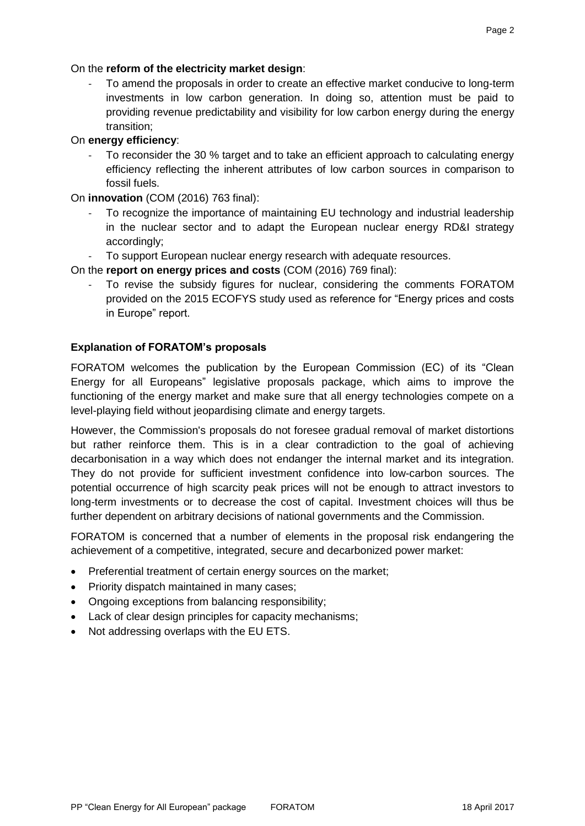Page 2

# On the **reform of the electricity market design**:

To amend the proposals in order to create an effective market conducive to long-term investments in low carbon generation. In doing so, attention must be paid to providing revenue predictability and visibility for low carbon energy during the energy transition;

# On **energy efficiency**:

To reconsider the 30 % target and to take an efficient approach to calculating energy efficiency reflecting the inherent attributes of low carbon sources in comparison to fossil fuels.

On **innovation** (COM (2016) 763 final):

- To recognize the importance of maintaining EU technology and industrial leadership in the nuclear sector and to adapt the European nuclear energy RD&I strategy accordingly;
- To support European nuclear energy research with adequate resources.

On the **report on energy prices and costs** (COM (2016) 769 final):

To revise the subsidy figures for nuclear, considering the comments FORATOM provided on the 2015 ECOFYS study used as reference for "Energy prices and costs in Europe" report.

# **Explanation of FORATOM's proposals**

FORATOM welcomes the publication by the European Commission (EC) of its "Clean Energy for all Europeans" legislative proposals package, which aims to improve the functioning of the energy market and make sure that all energy technologies compete on a level-playing field without jeopardising climate and energy targets.

However, the Commission's proposals do not foresee gradual removal of market distortions but rather reinforce them. This is in a clear contradiction to the goal of achieving decarbonisation in a way which does not endanger the internal market and its integration. They do not provide for sufficient investment confidence into low-carbon sources. The potential occurrence of high scarcity peak prices will not be enough to attract investors to long-term investments or to decrease the cost of capital. Investment choices will thus be further dependent on arbitrary decisions of national governments and the Commission.

FORATOM is concerned that a number of elements in the proposal risk endangering the achievement of a competitive, integrated, secure and decarbonized power market:

- Preferential treatment of certain energy sources on the market;
- Priority dispatch maintained in many cases;
- Ongoing exceptions from balancing responsibility;
- Lack of clear design principles for capacity mechanisms;
- Not addressing overlaps with the EU ETS.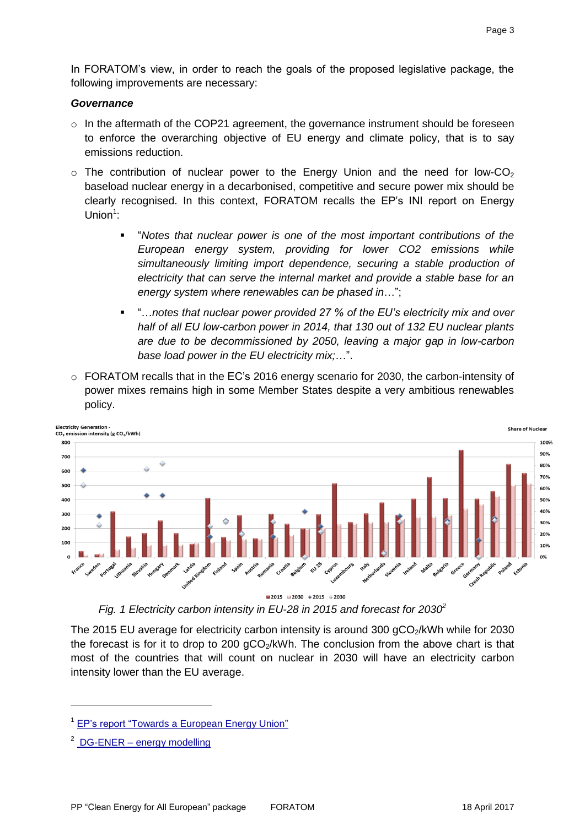In FORATOM's view, in order to reach the goals of the proposed legislative package, the following improvements are necessary:

#### *Governance*

- $\circ$  In the aftermath of the COP21 agreement, the governance instrument should be foreseen to enforce the overarching objective of EU energy and climate policy, that is to say emissions reduction.
- $\circ$  The contribution of nuclear power to the Energy Union and the need for low-CO<sub>2</sub> baseload nuclear energy in a decarbonised, competitive and secure power mix should be clearly recognised. In this context, FORATOM recalls the EP's INI report on Energy Union<sup>1</sup>:
	- "*Notes that nuclear power is one of the most important contributions of the European energy system, providing for lower CO2 emissions while simultaneously limiting import dependence, securing a stable production of electricity that can serve the internal market and provide a stable base for an energy system where renewables can be phased in*…";
	- "…*notes that nuclear power provided 27 % of the EU's electricity mix and over half of all EU low-carbon power in 2014, that 130 out of 132 EU nuclear plants are due to be decommissioned by 2050, leaving a major gap in low-carbon base load power in the EU electricity mix;*…".
- $\circ$  FORATOM recalls that in the EC's 2016 energy scenario for 2030, the carbon-intensity of power mixes remains high in some Member States despite a very ambitious renewables policy.



*Fig. 1 Electricity carbon intensity in EU-28 in 2015 and forecast for 2030<sup>2</sup>*

The 2015 EU average for electricity carbon intensity is around 300  $qCO<sub>2</sub>/kWh$  while for 2030 the forecast is for it to drop to 200  $qCO<sub>2</sub>/kWh$ . The conclusion from the above chart is that most of the countries that will count on nuclear in 2030 will have an electricity carbon intensity lower than the EU average.

 $2^{2}$  DG-ENER – [energy modelling](https://ec.europa.eu/energy/en/content/energy-modelling-interactive-graphs?type=maps/europe2&themes=s_70_electricity-and-steam-production)

<sup>&</sup>lt;sup>1</sup> [EP's report "Towards a European Energy Union"](http://www.europarl.europa.eu/sides/getDoc.do?type=TA&reference=P8-TA-2015-0444&language=EN&ring=A8-2015-0341)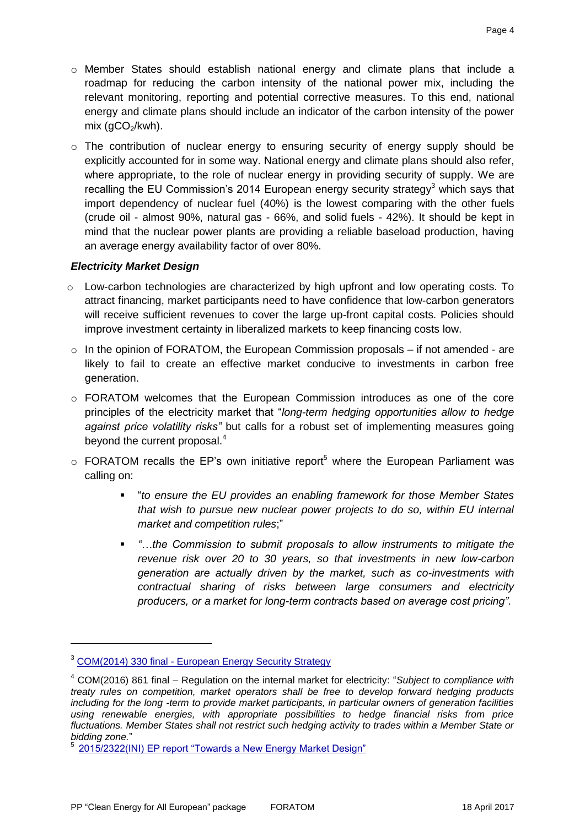- o Member States should establish national energy and climate plans that include a roadmap for reducing the carbon intensity of the national power mix, including the relevant monitoring, reporting and potential corrective measures. To this end, national energy and climate plans should include an indicator of the carbon intensity of the power mix  $(qCO<sub>2</sub>/kwh)$ .
- $\circ$  The contribution of nuclear energy to ensuring security of energy supply should be explicitly accounted for in some way. National energy and climate plans should also refer, where appropriate, to the role of nuclear energy in providing security of supply. We are recalling the EU Commission's 2014 European energy security strategy<sup>3</sup> which says that import dependency of nuclear fuel (40%) is the lowest comparing with the other fuels (crude oil - almost 90%, natural gas - 66%, and solid fuels - 42%). It should be kept in mind that the nuclear power plants are providing a reliable baseload production, having an average energy availability factor of over 80%.

### *Electricity Market Design*

- $\circ$  Low-carbon technologies are characterized by high upfront and low operating costs. To attract financing, market participants need to have confidence that low-carbon generators will receive sufficient revenues to cover the large up-front capital costs. Policies should improve investment certainty in liberalized markets to keep financing costs low.
- $\circ$  In the opinion of FORATOM, the European Commission proposals if not amended are likely to fail to create an effective market conducive to investments in carbon free generation.
- o FORATOM welcomes that the European Commission introduces as one of the core principles of the electricity market that "*long-term hedging opportunities allow to hedge against price volatility risks"* but calls for a robust set of implementing measures going beyond the current proposal. $4$
- $\circ$  FORATOM recalls the EP's own initiative report<sup>5</sup> where the European Parliament was calling on:
	- "*to ensure the EU provides an enabling framework for those Member States that wish to pursue new nuclear power projects to do so, within EU internal market and competition rules*;"
	- *"…the Commission to submit proposals to allow instruments to mitigate the revenue risk over 20 to 30 years, so that investments in new low-carbon generation are actually driven by the market, such as co-investments with contractual sharing of risks between large consumers and electricity producers, or a market for long-term contracts based on average cost pricing"*.

<sup>&</sup>lt;sup>3</sup> COM(2014) 330 final - [European Energy Security Strategy](http://eur-lex.europa.eu/legal-content/EN/TXT/PDF/?uri=CELEX:52014DC0330&from=EN)

<sup>4</sup> COM(2016) 861 final – Regulation on the internal market for electricity: "*Subject to compliance with treaty rules on competition, market operators shall be free to develop forward hedging products including for the long -term to provide market participants, in particular owners of generation facilities using renewable energies, with appropriate possibilities to hedge financial risks from price fluctuations. Member States shall not restrict such hedging activity to trades within a Member State or bidding zone.*"

<sup>5</sup> [2015/2322\(INI\) EP report "Towards a New Energy Market Design"](http://www.europarl.europa.eu/sides/getDoc.do?pubRef=-//EP//NONSGML+TA+P8-TA-2016-0333+0+DOC+PDF+V0//EN)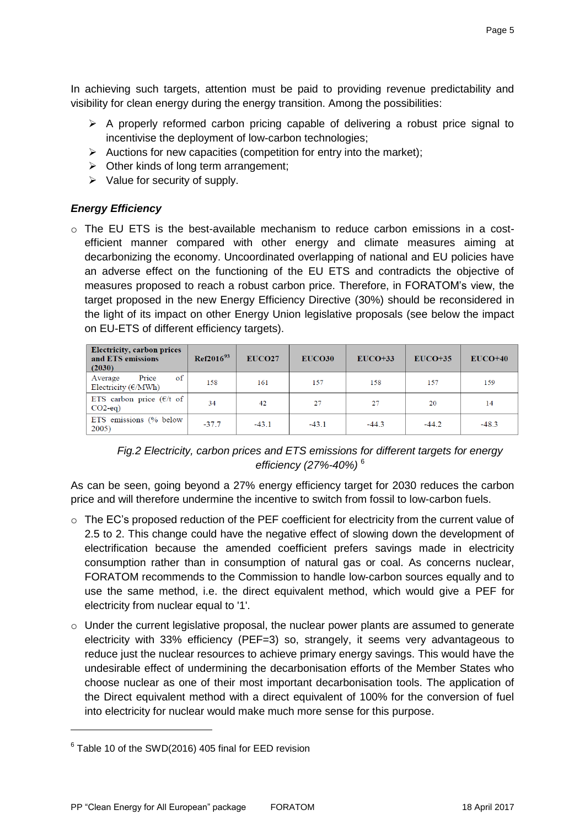In achieving such targets, attention must be paid to providing revenue predictability and visibility for clean energy during the energy transition. Among the possibilities:

- $\triangleright$  A properly reformed carbon pricing capable of delivering a robust price signal to incentivise the deployment of low-carbon technologies;
- $\triangleright$  Auctions for new capacities (competition for entry into the market);
- $\triangleright$  Other kinds of long term arrangement;
- $\triangleright$  Value for security of supply.

# *Energy Efficiency*

 $\circ$  The EU ETS is the best-available mechanism to reduce carbon emissions in a costefficient manner compared with other energy and climate measures aiming at decarbonizing the economy. Uncoordinated overlapping of national and EU policies have an adverse effect on the functioning of the EU ETS and contradicts the objective of measures proposed to reach a robust carbon price. Therefore, in FORATOM's view, the target proposed in the new Energy Efficiency Directive (30%) should be reconsidered in the light of its impact on other Energy Union legislative proposals (see below the impact on EU-ETS of different efficiency targets).

| <b>Electricity, carbon prices</b><br>and ETS emissions<br>(2030) | $Ref2016^{93}$ | EUCO <sub>27</sub> | EUCO30  | $EUCO+33$ | $EUCO+35$ | $EUCO+40$ |
|------------------------------------------------------------------|----------------|--------------------|---------|-----------|-----------|-----------|
| Price<br>of<br>Average<br>Electricity $(\epsilon/MWh)$           | 158            | 161                | 157     | 158       | 157       | 159       |
| ETS carbon price $(\epsilon/t)$ of<br>$CO2$ -eq)                 | 34             | 42                 | 27      | 27        | 20        | 14        |
| ETS emissions (% below<br>2005)                                  | $-37.7$        | $-43.1$            | $-43.1$ | $-44.3$   | $-44.2$   | $-48.3$   |

*Fig.2 Electricity, carbon prices and ETS emissions for different targets for energy efficiency (27%-40%)* <sup>6</sup>

As can be seen, going beyond a 27% energy efficiency target for 2030 reduces the carbon price and will therefore undermine the incentive to switch from fossil to low-carbon fuels.

- o The EC's proposed reduction of the PEF coefficient for electricity from the current value of 2.5 to 2. This change could have the negative effect of slowing down the development of electrification because the amended coefficient prefers savings made in electricity consumption rather than in consumption of natural gas or coal. As concerns nuclear, FORATOM recommends to the Commission to handle low-carbon sources equally and to use the same method, i.e. the direct equivalent method, which would give a PEF for electricity from nuclear equal to '1'.
- $\circ$  Under the current legislative proposal, the nuclear power plants are assumed to generate electricity with 33% efficiency (PEF=3) so, strangely, it seems very advantageous to reduce just the nuclear resources to achieve primary energy savings. This would have the undesirable effect of undermining the decarbonisation efforts of the Member States who choose nuclear as one of their most important decarbonisation tools. The application of the Direct equivalent method with a direct equivalent of 100% for the conversion of fuel into electricity for nuclear would make much more sense for this purpose.

 $6$  Table 10 of the SWD(2016) 405 final for EED revision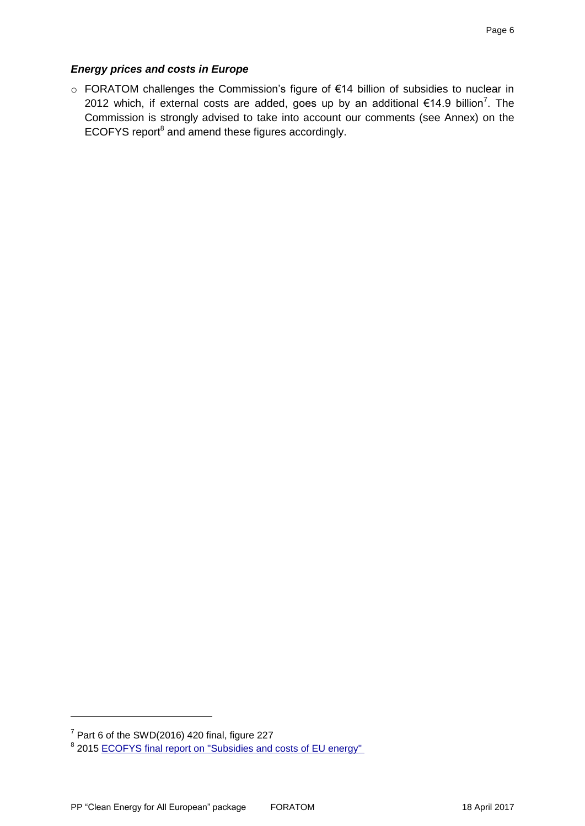# *Energy prices and costs in Europe*

o FORATOM challenges the Commission's figure of €14 billion of subsidies to nuclear in 2012 which, if external costs are added, goes up by an additional €14.9 billion<sup>7</sup>. The Commission is strongly advised to take into account our comments (see Annex) on the ECOFYS report<sup>8</sup> and amend these figures accordingly.

 $<sup>7</sup>$  Part 6 of the SWD(2016) 420 final, figure 227</sup>

<sup>&</sup>lt;sup>8</sup> 2015 [ECOFYS final report on "Subsidies and costs of EU energy"](https://ec.europa.eu/energy/sites/ener/files/documents/ECOFYS%202014%20Subsidies%20and%20costs%20of%20EU%20energy_11_Nov.pdf)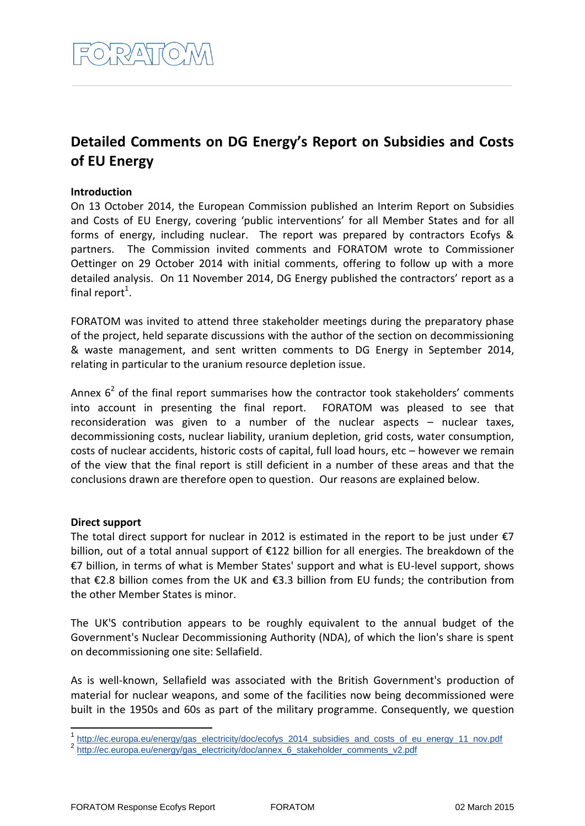# **Detailed Comments on DG Energy's Report on Subsidies and Costs of EU Energy**

## **Introduction**

On 13 October 2014, the European Commission published an Interim Report on Subsidies and Costs of EU Energy, covering 'public interventions' for all Member States and for all forms of energy, including nuclear. The report was prepared by contractors Ecofys & partners. The Commission invited comments and FORATOM wrote to Commissioner Oettinger on 29 October 2014 with initial comments, offering to follow up with a more detailed analysis. On 11 November 2014, DG Energy published the contractors' report as a final report<sup>1</sup>.

FORATOM was invited to attend three stakeholder meetings during the preparatory phase of the project, held separate discussions with the author of the section on decommissioning & waste management, and sent written comments to DG Energy in September 2014, relating in particular to the uranium resource depletion issue.

Annex  $6<sup>2</sup>$  of the final report summarises how the contractor took stakeholders' comments into account in presenting the final report. FORATOM was pleased to see that reconsideration was given to a number of the nuclear aspects – nuclear taxes, decommissioning costs, nuclear liability, uranium depletion, grid costs, water consumption, costs of nuclear accidents, historic costs of capital, full load hours, etc – however we remain of the view that the final report is still deficient in a number of these areas and that the conclusions drawn are therefore open to question. Our reasons are explained below.

### **Direct support**

The total direct support for nuclear in 2012 is estimated in the report to be just under  $\epsilon$ 7 billion, out of a total annual support of €122 billion for all energies. The breakdown of the €7 billion, in terms of what is Member States' support and what is EU-level support, shows that €2.8 billion comes from the UK and €3.3 billion from EU funds; the contribution from the other Member States is minor.

The UK'S contribution appears to be roughly equivalent to the annual budget of the Government's Nuclear Decommissioning Authority (NDA), of which the lion's share is spent on decommissioning one site: Sellafield.

As is well-known, Sellafield was associated with the British Government's production of material for nuclear weapons, and some of the facilities now being decommissioned were built in the 1950s and 60s as part of the military programme. Consequently, we question

<sup>1&</sup>lt;br>1 [http://ec.europa.eu/energy/gas\\_electricity/doc/ecofys\\_2014\\_subsidies\\_and\\_costs\\_of\\_eu\\_energy\\_11\\_nov.pdf](http://ec.europa.eu/energy/gas_electricity/doc/ecofys_2014_subsidies_and_costs_of_eu_energy_11_nov.pdf) <sup>2</sup> [http://ec.europa.eu/energy/gas\\_electricity/doc/annex\\_6\\_stakeholder\\_comments\\_v2.pdf](http://ec.europa.eu/energy/gas_electricity/doc/annex_6_stakeholder_comments_v2.pdf)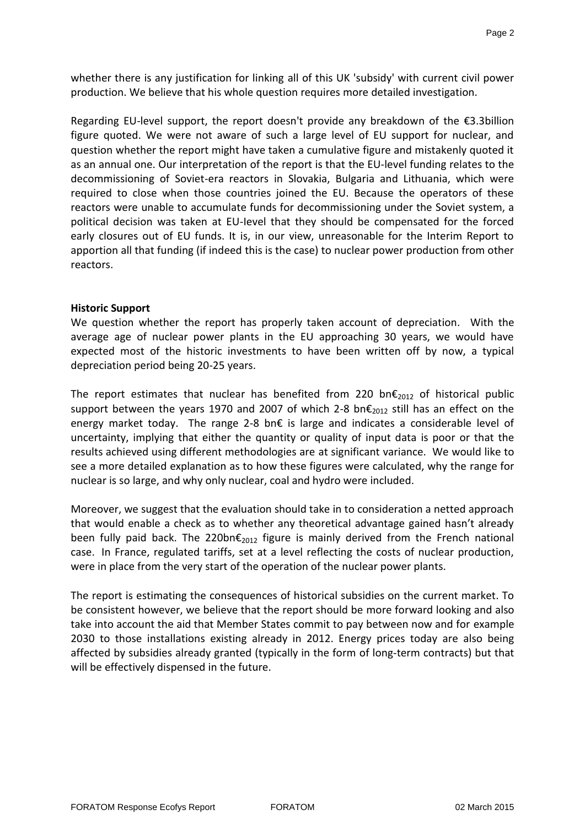whether there is any justification for linking all of this UK 'subsidy' with current civil power production. We believe that his whole question requires more detailed investigation.

Regarding EU-level support, the report doesn't provide any breakdown of the €3.3billion figure quoted. We were not aware of such a large level of EU support for nuclear, and question whether the report might have taken a cumulative figure and mistakenly quoted it as an annual one. Our interpretation of the report is that the EU-level funding relates to the decommissioning of Soviet-era reactors in Slovakia, Bulgaria and Lithuania, which were required to close when those countries joined the EU. Because the operators of these reactors were unable to accumulate funds for decommissioning under the Soviet system, a political decision was taken at EU-Ievel that they should be compensated for the forced early closures out of EU funds. It is, in our view, unreasonable for the Interim Report to apportion all that funding (if indeed this is the case) to nuclear power production from other reactors.

#### **Historic Support**

We question whether the report has properly taken account of depreciation. With the average age of nuclear power plants in the EU approaching 30 years, we would have expected most of the historic investments to have been written off by now, a typical depreciation period being 20-25 years.

The report estimates that nuclear has benefited from 220 bn $\epsilon_{2012}$  of historical public support between the years 1970 and 2007 of which 2-8 bn $\epsilon_{2012}$  still has an effect on the energy market today. The range 2-8 bn€ is large and indicates a considerable level of uncertainty, implying that either the quantity or quality of input data is poor or that the results achieved using different methodologies are at significant variance. We would like to see a more detailed explanation as to how these figures were calculated, why the range for nuclear is so large, and why only nuclear, coal and hydro were included.

Moreover, we suggest that the evaluation should take in to consideration a netted approach that would enable a check as to whether any theoretical advantage gained hasn't already been fully paid back. The 220bn $\epsilon_{2012}$  figure is mainly derived from the French national case. In France, regulated tariffs, set at a level reflecting the costs of nuclear production, were in place from the very start of the operation of the nuclear power plants.

The report is estimating the consequences of historical subsidies on the current market. To be consistent however, we believe that the report should be more forward looking and also take into account the aid that Member States commit to pay between now and for example 2030 to those installations existing already in 2012. Energy prices today are also being affected by subsidies already granted (typically in the form of long-term contracts) but that will be effectively dispensed in the future.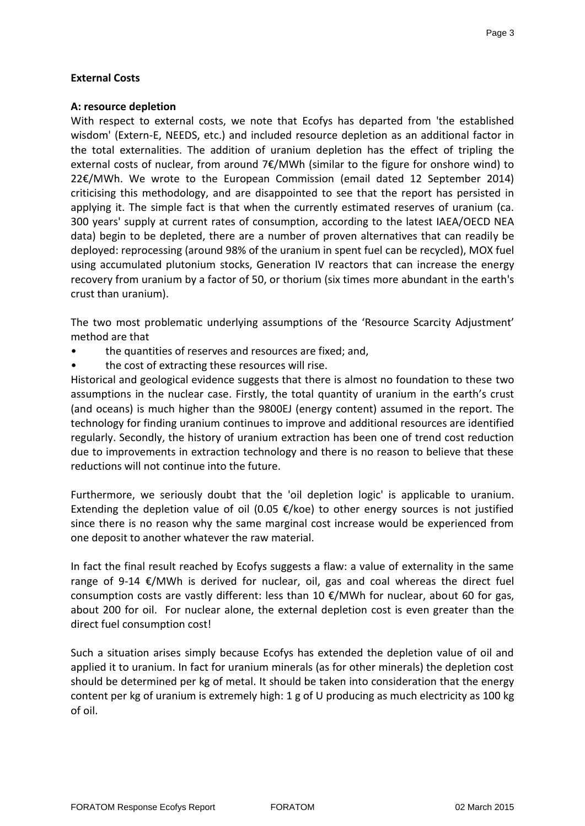# **External Costs**

### **A: resource depletion**

With respect to external costs, we note that Ecofys has departed from 'the established wisdom' (Extern-E, NEEDS, etc.) and included resource depletion as an additional factor in the total externalities. The addition of uranium depletion has the effect of tripling the external costs of nuclear, from around 7€/MWh (similar to the figure for onshore wind) to 22€/MWh. We wrote to the European Commission (email dated 12 September 2014) criticising this methodology, and are disappointed to see that the report has persisted in applying it. The simple fact is that when the currently estimated reserves of uranium (ca. 300 years' supply at current rates of consumption, according to the latest IAEA/OECD NEA data) begin to be depleted, there are a number of proven alternatives that can readily be deployed: reprocessing (around 98% of the uranium in spent fuel can be recycled), MOX fuel using accumulated plutonium stocks, Generation IV reactors that can increase the energy recovery from uranium by a factor of 50, or thorium (six times more abundant in the earth's crust than uranium).

The two most problematic underlying assumptions of the 'Resource Scarcity Adjustment' method are that

- the quantities of reserves and resources are fixed; and,
- the cost of extracting these resources will rise.

Historical and geological evidence suggests that there is almost no foundation to these two assumptions in the nuclear case. Firstly, the total quantity of uranium in the earth's crust (and oceans) is much higher than the 9800EJ (energy content) assumed in the report. The technology for finding uranium continues to improve and additional resources are identified regularly. Secondly, the history of uranium extraction has been one of trend cost reduction due to improvements in extraction technology and there is no reason to believe that these reductions will not continue into the future.

Furthermore, we seriously doubt that the 'oil depletion logic' is applicable to uranium. Extending the depletion value of oil (0.05  $\epsilon$ /koe) to other energy sources is not justified since there is no reason why the same marginal cost increase would be experienced from one deposit to another whatever the raw material.

In fact the final result reached by Ecofys suggests a flaw: a value of externality in the same range of 9-14 €/MWh is derived for nuclear, oil, gas and coal whereas the direct fuel consumption costs are vastly different: less than 10  $\epsilon$ /MWh for nuclear, about 60 for gas, about 200 for oil. For nuclear alone, the external depletion cost is even greater than the direct fuel consumption cost!

Such a situation arises simply because Ecofys has extended the depletion value of oil and applied it to uranium. In fact for uranium minerals (as for other minerals) the depletion cost should be determined per kg of metal. It should be taken into consideration that the energy content per kg of uranium is extremely high: 1 g of U producing as much electricity as 100 kg of oil.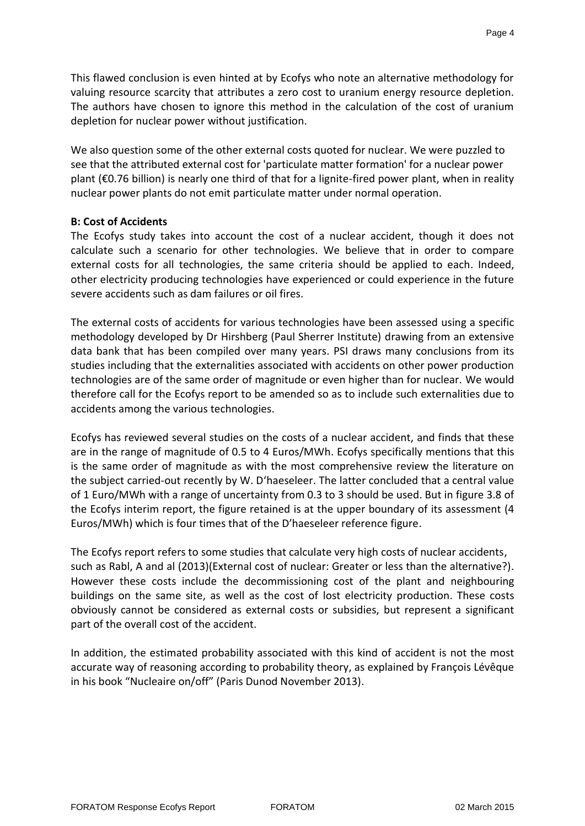This flawed conclusion is even hinted at by Ecofys who note an alternative methodology for valuing resource scarcity that attributes a zero cost to uranium energy resource depletion. The authors have chosen to ignore this method in the calculation of the cost of uranium depletion for nuclear power without justification.

We also question some of the other external costs quoted for nuclear. We were puzzled to see that the attributed external cost for 'particulate matter formation' for a nuclear power plant (€0.76 billion) is nearly one third of that for a lignite-fired power plant, when in reality nuclear power plants do not emit particulate matter under normal operation.

#### **B: Cost of Accidents**

The Ecofys study takes into account the cost of a nuclear accident, though it does not calculate such a scenario for other technologies. We believe that in order to compare external costs for all technologies, the same criteria should be applied to each. Indeed, other electricity producing technologies have experienced or could experience in the future severe accidents such as dam failures or oil fires.

The external costs of accidents for various technologies have been assessed using a specific methodology developed by Dr Hirshberg (Paul Sherrer Institute) drawing from an extensive data bank that has been compiled over many years. PSI draws many conclusions from its studies including that the externalities associated with accidents on other power production technologies are of the same order of magnitude or even higher than for nuclear. We would therefore call for the Ecofys report to be amended so as to include such externalities due to accidents among the various technologies.

Ecofys has reviewed several studies on the costs of a nuclear accident, and finds that these are in the range of magnitude of 0.5 to 4 Euros/MWh. Ecofys specifically mentions that this is the same order of magnitude as with the most comprehensive review the literature on the subject carried-out recently by W. D'haeseleer. The latter concluded that a central value of 1 Euro/MWh with a range of uncertainty from 0.3 to 3 should be used. But in figure 3.8 of the Ecofys interim report, the figure retained is at the upper boundary of its assessment (4 Euros/MWh) which is four times that of the D'haeseleer reference figure.

The Ecofys report refers to some studies that calculate very high costs of nuclear accidents, such as Rabl, A and al (2013)(External cost of nuclear: Greater or less than the alternative?). However these costs include the decommissioning cost of the plant and neighbouring buildings on the same site, as well as the cost of lost electricity production. These costs obviously cannot be considered as external costs or subsidies, but represent a significant part of the overall cost of the accident.

In addition, the estimated probability associated with this kind of accident is not the most accurate way of reasoning according to probability theory, as explained by François Lévêque in his book "Nucleaire on/off" (Paris Dunod November 2013).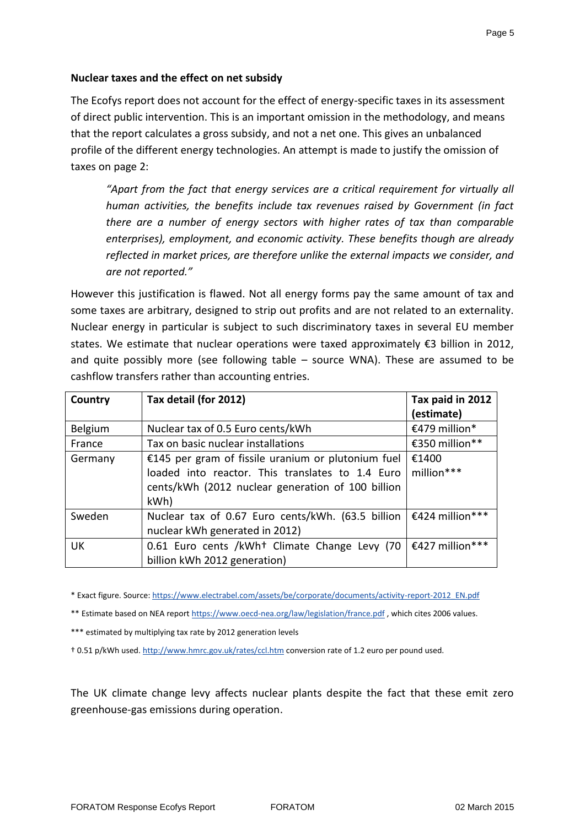# **Nuclear taxes and the effect on net subsidy**

The Ecofys report does not account for the effect of energy-specific taxes in its assessment of direct public intervention. This is an important omission in the methodology, and means that the report calculates a gross subsidy, and not a net one. This gives an unbalanced profile of the different energy technologies. An attempt is made to justify the omission of taxes on page 2:

*"Apart from the fact that energy services are a critical requirement for virtually all human activities, the benefits include tax revenues raised by Government (in fact there are a number of energy sectors with higher rates of tax than comparable enterprises), employment, and economic activity. These benefits though are already reflected in market prices, are therefore unlike the external impacts we consider, and are not reported."*

However this justification is flawed. Not all energy forms pay the same amount of tax and some taxes are arbitrary, designed to strip out profits and are not related to an externality. Nuclear energy in particular is subject to such discriminatory taxes in several EU member states. We estimate that nuclear operations were taxed approximately €3 billion in 2012, and quite possibly more (see following table – source WNA). These are assumed to be cashflow transfers rather than accounting entries.

| Country   | Tax detail (for 2012)                                                                                     | Tax paid in 2012<br>(estimate) |
|-----------|-----------------------------------------------------------------------------------------------------------|--------------------------------|
| Belgium   | Nuclear tax of 0.5 Euro cents/kWh                                                                         | €479 million*                  |
| France    | Tax on basic nuclear installations                                                                        | €350 million**                 |
| Germany   | €145 per gram of fissile uranium or plutonium fuel<br>loaded into reactor. This translates to 1.4 Euro    | €1400<br>million***            |
|           | cents/kWh (2012 nuclear generation of 100 billion<br>kWh)                                                 |                                |
| Sweden    | Nuclear tax of 0.67 Euro cents/kWh. (63.5 billion $\in$ €424 million***<br>nuclear kWh generated in 2012) |                                |
| <b>UK</b> | 0.61 Euro cents /kWh <sup>+</sup> Climate Change Levy (70<br>billion kWh 2012 generation)                 | €427 million***                |

\* Exact figure. Source[: https://www.electrabel.com/assets/be/corporate/documents/activity-report-2012\\_EN.pdf](https://www.electrabel.com/assets/be/corporate/documents/activity-report-2012_EN.pdf)

\*\* Estimate based on NEA report<https://www.oecd-nea.org/law/legislation/france.pdf>, which cites 2006 values.

\*\*\* estimated by multiplying tax rate by 2012 generation levels

† 0.51 p/kWh used. <http://www.hmrc.gov.uk/rates/ccl.htm> conversion rate of 1.2 euro per pound used.

The UK climate change levy affects nuclear plants despite the fact that these emit zero greenhouse-gas emissions during operation.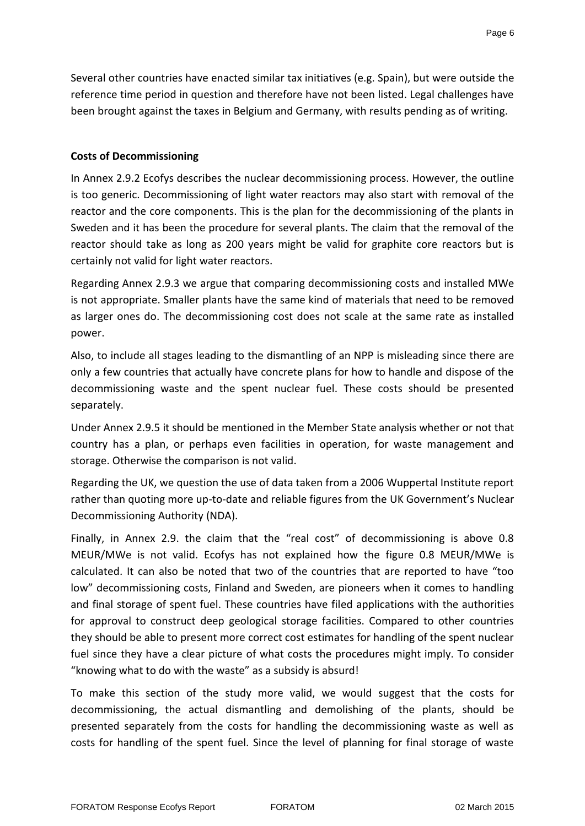Several other countries have enacted similar tax initiatives (e.g. Spain), but were outside the reference time period in question and therefore have not been listed. Legal challenges have been brought against the taxes in Belgium and Germany, with results pending as of writing.

### **Costs of Decommissioning**

In Annex 2.9.2 Ecofys describes the nuclear decommissioning process. However, the outline is too generic. Decommissioning of light water reactors may also start with removal of the reactor and the core components. This is the plan for the decommissioning of the plants in Sweden and it has been the procedure for several plants. The claim that the removal of the reactor should take as long as 200 years might be valid for graphite core reactors but is certainly not valid for light water reactors.

Regarding Annex 2.9.3 we argue that comparing decommissioning costs and installed MWe is not appropriate. Smaller plants have the same kind of materials that need to be removed as larger ones do. The decommissioning cost does not scale at the same rate as installed power.

Also, to include all stages leading to the dismantling of an NPP is misleading since there are only a few countries that actually have concrete plans for how to handle and dispose of the decommissioning waste and the spent nuclear fuel. These costs should be presented separately.

Under Annex 2.9.5 it should be mentioned in the Member State analysis whether or not that country has a plan, or perhaps even facilities in operation, for waste management and storage. Otherwise the comparison is not valid.

Regarding the UK, we question the use of data taken from a 2006 Wuppertal Institute report rather than quoting more up-to-date and reliable figures from the UK Government's Nuclear Decommissioning Authority (NDA).

Finally, in Annex 2.9. the claim that the "real cost" of decommissioning is above 0.8 MEUR/MWe is not valid. Ecofys has not explained how the figure 0.8 MEUR/MWe is calculated. It can also be noted that two of the countries that are reported to have "too low" decommissioning costs, Finland and Sweden, are pioneers when it comes to handling and final storage of spent fuel. These countries have filed applications with the authorities for approval to construct deep geological storage facilities. Compared to other countries they should be able to present more correct cost estimates for handling of the spent nuclear fuel since they have a clear picture of what costs the procedures might imply. To consider "knowing what to do with the waste" as a subsidy is absurd!

To make this section of the study more valid, we would suggest that the costs for decommissioning, the actual dismantling and demolishing of the plants, should be presented separately from the costs for handling the decommissioning waste as well as costs for handling of the spent fuel. Since the level of planning for final storage of waste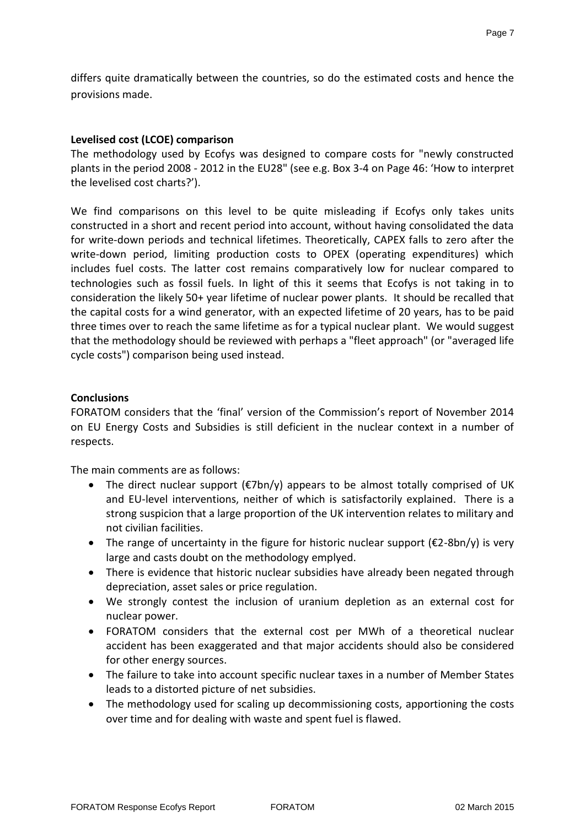differs quite dramatically between the countries, so do the estimated costs and hence the provisions made.

### **Levelised cost (LCOE) comparison**

The methodology used by Ecofys was designed to compare costs for "newly constructed plants in the period 2008 - 2012 in the EU28" (see e.g. Box 3-4 on Page 46: 'How to interpret the levelised cost charts?').

We find comparisons on this level to be quite misleading if Ecofys only takes units constructed in a short and recent period into account, without having consolidated the data for write-down periods and technical lifetimes. Theoretically, CAPEX falls to zero after the write-down period, limiting production costs to OPEX (operating expenditures) which includes fuel costs. The latter cost remains comparatively low for nuclear compared to technologies such as fossil fuels. In light of this it seems that Ecofys is not taking in to consideration the likely 50+ year lifetime of nuclear power plants. It should be recalled that the capital costs for a wind generator, with an expected lifetime of 20 years, has to be paid three times over to reach the same lifetime as for a typical nuclear plant. We would suggest that the methodology should be reviewed with perhaps a "fleet approach" (or "averaged life cycle costs") comparison being used instead.

### **Conclusions**

FORATOM considers that the 'final' version of the Commission's report of November 2014 on EU Energy Costs and Subsidies is still deficient in the nuclear context in a number of respects.

The main comments are as follows:

- The direct nuclear support  $(\epsilon^T$ bn/y) appears to be almost totally comprised of UK and EU-level interventions, neither of which is satisfactorily explained. There is a strong suspicion that a large proportion of the UK intervention relates to military and not civilian facilities.
- The range of uncertainty in the figure for historic nuclear support  $(E2-8bn/y)$  is very large and casts doubt on the methodology emplyed.
- There is evidence that historic nuclear subsidies have already been negated through depreciation, asset sales or price regulation.
- We strongly contest the inclusion of uranium depletion as an external cost for nuclear power.
- FORATOM considers that the external cost per MWh of a theoretical nuclear accident has been exaggerated and that major accidents should also be considered for other energy sources.
- The failure to take into account specific nuclear taxes in a number of Member States leads to a distorted picture of net subsidies.
- The methodology used for scaling up decommissioning costs, apportioning the costs over time and for dealing with waste and spent fuel is flawed.